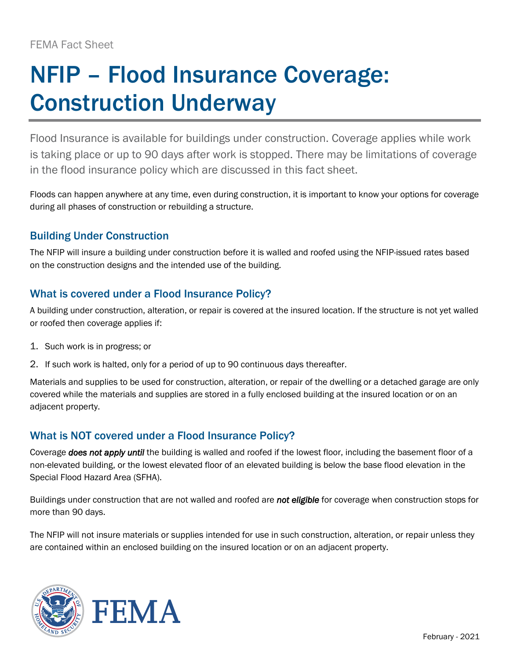# NFIP – Flood Insurance Coverage: Construction Underway

Flood Insurance is available for buildings under construction. Coverage applies while work is taking place or up to 90 days after work is stopped. There may be limitations of coverage in the flood insurance policy which are discussed in this fact sheet.

Floods can happen anywhere at any time, even during construction, it is important to know your options for coverage during all phases of construction or rebuilding a structure.

## Building Under Construction

The NFIP will insure a building under construction before it is walled and roofed using the NFIP-issued rates based on the construction designs and the intended use of the building.

#### What is covered under a Flood Insurance Policy?

A building under construction, alteration, or repair is covered at the insured location. If the structure is not yet walled or roofed then coverage applies if:

- 1. Such work is in progress; or
- 2. If such work is halted, only for a period of up to 90 continuous days thereafter.

Materials and supplies to be used for construction, alteration, or repair of the dwelling or a detached garage are only covered while the materials and supplies are stored in a fully enclosed building at the insured location or on an adjacent property.

## What is NOT covered under a Flood Insurance Policy?

Coverage *does not apply until* the building is walled and roofed if the lowest floor, including the basement floor of a non-elevated building, or the lowest elevated floor of an elevated building is below the base flood elevation in the Special Flood Hazard Area (SFHA).

Buildings under construction that are not walled and roofed are *not eligible* for coverage when construction stops for more than 90 days.

The NFIP will not insure materials or supplies intended for use in such construction, alteration, or repair unless they are contained within an enclosed building on the insured location or on an adjacent property.



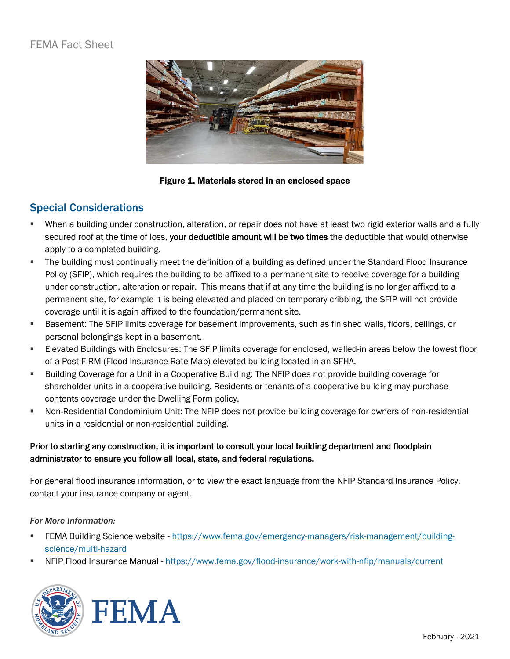## FEMA Fact Sheet



Figure 1. Materials stored in an enclosed space

#### Special Considerations

- When a building under construction, alteration, or repair does not have at least two rigid exterior walls and a fully secured roof at the time of loss, your deductible amount will be two times the deductible that would otherwise apply to a completed building.
- The building must continually meet the definition of a building as defined under the Standard Flood Insurance Policy (SFIP), which requires the building to be affixed to a permanent site to receive coverage for a building under construction, alteration or repair. This means that if at any time the building is no longer affixed to a permanent site, for example it is being elevated and placed on temporary cribbing, the SFIP will not provide coverage until it is again affixed to the foundation/permanent site.
- Basement: The SFIP limits coverage for basement improvements, such as finished walls, floors, ceilings, or personal belongings kept in a basement.
- Elevated Buildings with Enclosures: The SFIP limits coverage for enclosed, walled-in areas below the lowest floor of a Post-FIRM (Flood Insurance Rate Map) elevated building located in an SFHA.
- Building Coverage for a Unit in a Cooperative Building: The NFIP does not provide building coverage for shareholder units in a cooperative building. Residents or tenants of a cooperative building may purchase contents coverage under the Dwelling Form policy.
- Non-Residential Condominium Unit: The NFIP does not provide building coverage for owners of non-residential units in a residential or non-residential building.

#### Prior to starting any construction, it is important to consult your local building department and floodplain administrator to ensure you follow all local, state, and federal regulations.

For general flood insurance information, or to view the exact language from the NFIP Standard Insurance Policy, contact your insurance company or agent.

#### *For More Information:*

- FEMA Building Science website [https://www.fema.gov/emergency-managers/risk-management/building](https://www.fema.gov/emergency-managers/risk-management/building-science/multi-hazard)[science/multi-hazard](https://www.fema.gov/emergency-managers/risk-management/building-science/multi-hazard)
- NFIP Flood Insurance Manual <https://www.fema.gov/flood-insurance/work-with-nfip/manuals/current>